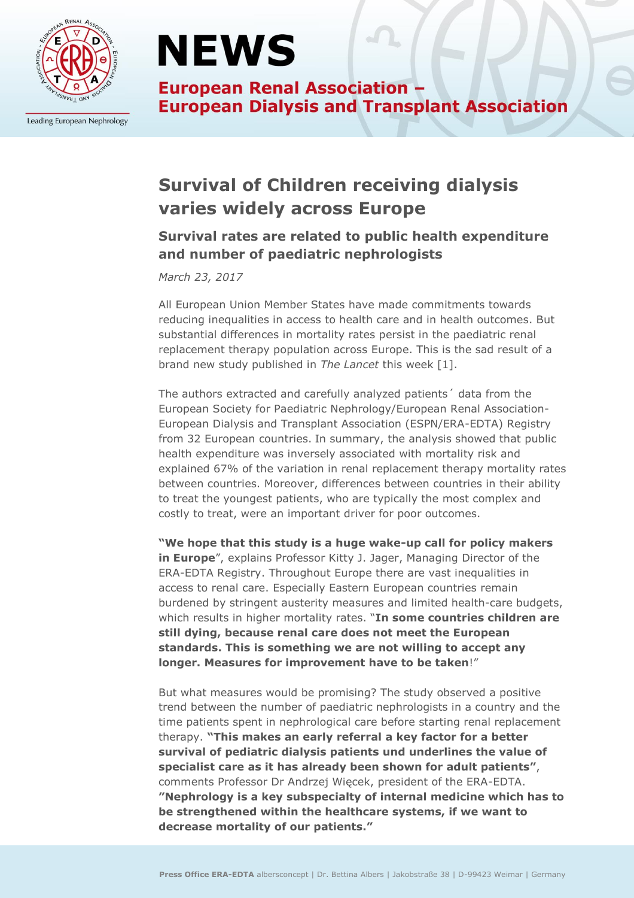

Leading European Nephrology

# **NEWS**

**European Renal Association -European Dialysis and Transplant Association** 

## **Survival of Children receiving dialysis varies widely across Europe**

### **Survival rates are related to public health expenditure and number of paediatric nephrologists**

*March 23, 2017*

All European Union Member States have made commitments towards reducing inequalities in access to health care and in health outcomes. But substantial differences in mortality rates persist in the paediatric renal replacement therapy population across Europe. This is the sad result of a brand new study published in *The Lancet* this week [1].

The authors extracted and carefully analyzed patients´ data from the European Society for Paediatric Nephrology/European Renal Association-European Dialysis and Transplant Association (ESPN/ERA-EDTA) Registry from 32 European countries. In summary, the analysis showed that public health expenditure was inversely associated with mortality risk and explained 67% of the variation in renal replacement therapy mortality rates between countries. Moreover, differences between countries in their ability to treat the youngest patients, who are typically the most complex and costly to treat, were an important driver for poor outcomes.

**"We hope that this study is a huge wake-up call for policy makers in Europe**", explains Professor Kitty J. Jager, Managing Director of the ERA-EDTA Registry. Throughout Europe there are vast inequalities in access to renal care. Especially Eastern European countries remain burdened by stringent austerity measures and limited health-care budgets, which results in higher mortality rates. "**In some countries children are still dying, because renal care does not meet the European standards. This is something we are not willing to accept any longer. Measures for improvement have to be taken**!"

But what measures would be promising? The study observed a positive trend between the number of paediatric nephrologists in a country and the time patients spent in nephrological care before starting renal replacement therapy. **"This makes an early referral a key factor for a better survival of pediatric dialysis patients und underlines the value of specialist care as it has already been shown for adult patients"**, comments Professor Dr Andrzej Więcek, president of the ERA-EDTA. **"Nephrology is a key subspecialty of internal medicine which has to be strengthened within the healthcare systems, if we want to decrease mortality of our patients."**